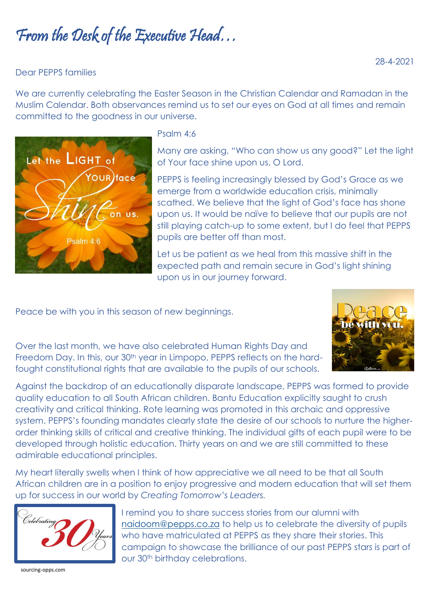# From the Desk of the Executive Head…

### Dear PEPPS families

We are currently celebrating the Easter Season in the Christian Calendar and Ramadan in the Muslim Calendar. Both observances remind us to set our eyes on God at all times and remain committed to the goodness in our universe.



#### Psalm 4:6

Many are asking, "Who can show us any good?" Let the light of Your face shine upon us, O Lord.

PEPPS is feeling increasingly blessed by God's Grace as we emerge from a worldwide education crisis, minimally scathed. We believe that the light of God's face has shone upon us. It would be naïve to believe that our pupils are not still playing catch-up to some extent, but I do feel that PEPPS pupils are better off than most.

Let us be patient as we heal from this massive shift in the expected path and remain secure in God's light shining upon us in our journey forward.

Peace be with you in this season of new beginnings.



Over the last month, we have also celebrated Human Rights Day and Freedom Day. In this, our 30<sup>th</sup> year in Limpopo, PEPPS reflects on the hardfought constitutional rights that are available to the pupils of our schools.

Against the backdrop of an educationally disparate landscape, PEPPS was formed to provide quality education to all South African children. Bantu Education explicitly saught to crush creativity and critical thinking. Rote learning was promoted in this archaic and oppressive system. PEPPS's founding mandates clearly state the desire of our schools to nurture the higherorder thinking skills of critical and creative thinking. The individual gifts of each pupil were to be developed through holistic education. Thirty years on and we are still committed to these admirable educational principles.

My heart literally swells when I think of how appreciative we all need to be that all South African children are in a position to enjoy progressive and modern education that will set them up for success in our world by *Creating Tomorrow's Leaders.*



I remind you to share success stories from our alumni with [naidoom@pepps.co.za](mailto:naidoom@pepps.co.za) to help us to celebrate the diversity of pupils who have matriculated at PEPPS as they share their stories. This campaign to showcase the brilliance of our past PEPPS stars is part of our 30<sup>th</sup> birthday celebrations.

sourcing-opps.com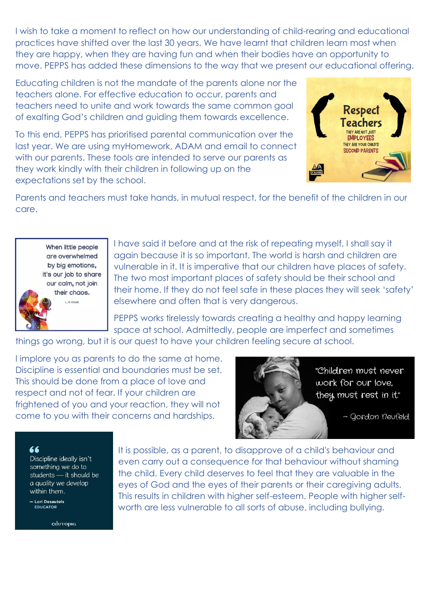I wish to take a moment to reflect on how our understanding of child-rearing and educational practices have shifted over the last 30 years. We have learnt that children learn most when they are happy, when they are having fun and when their bodies have an opportunity to move. PEPPS has added these dimensions to the way that we present our educational offering.

Educating children is not the mandate of the parents alone nor the teachers alone. For effective education to occur, parents and teachers need to unite and work towards the same common goal of exalting God's children and guiding them towards excellence.

To this end, PEPPS has prioritised parental communication over the last year. We are using myHomework, ADAM and email to connect with our parents. These tools are intended to serve our parents as they work kindly with their children in following up on the expectations set by the school.



Parents and teachers must take hands, in mutual respect, for the benefit of the children in our care.



I have said it before and at the risk of repeating myself, I shall say it again because it is so important. The world is harsh and children are vulnerable in it. It is imperative that our children have places of safety. The two most important places of safety should be their school and their home. If they do not feel safe in these places they will seek 'safety' elsewhere and often that is very dangerous.

PEPPS works tirelessly towards creating a healthy and happy learning space at school. Admittedly, people are imperfect and sometimes

things go wrong, but it is our quest to have your children feeling secure at school.

I implore you as parents to do the same at home. Discipline is essential and boundaries must be set. This should be done from a place of love and respect and not of fear. If your children are frightened of you and your reaction, they will not come to you with their concerns and hardships.



"Children must never work for our love, they must rest in it."

~ Gordon neufeld

#### 66

Discipline ideally isn't something we do to students - it should be a quality we develop within them.

- Lori Desautels EDUCATOR

eduropio

It is possible, as a parent, to disapprove of a child's behaviour and even carry out a consequence for that behaviour without shaming the child. Every child deserves to feel that they are valuable in the eyes of God and the eyes of their parents or their caregiving adults. This results in children with higher self-esteem. People with higher selfworth are less vulnerable to all sorts of abuse, including bullying.